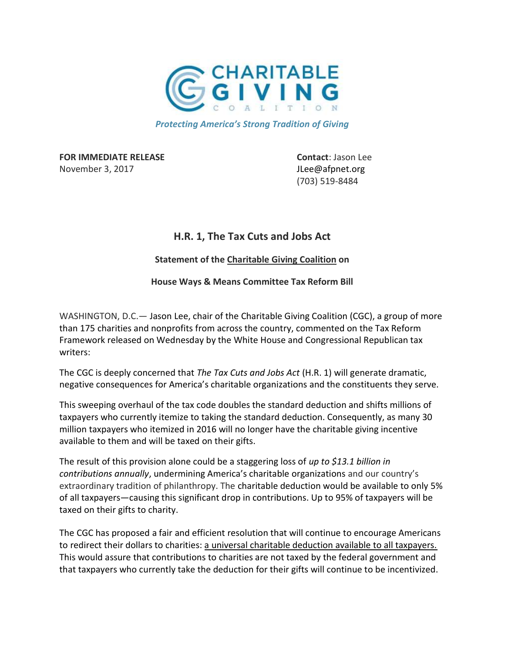

Protecting America's Strong Tradition of Giving

**FOR IMMEDIATE RELEASE CONTACT: Jason Lee** November 3, 2017 **JLee**@afpnet.org

(703) 519-8484

## H.R. 1, The Tax Cuts and Jobs Act

## Statement of the Charitable Giving Coalition on

House Ways & Means Committee Tax Reform Bill

WASHINGTON, D.C.— Jason Lee, chair of the Charitable Giving Coalition (CGC), a group of more than 175 charities and nonprofits from across the country, commented on the Tax Reform Framework released on Wednesday by the White House and Congressional Republican tax writers:

The CGC is deeply concerned that The Tax Cuts and Jobs Act (H.R. 1) will generate dramatic, negative consequences for America's charitable organizations and the constituents they serve.

This sweeping overhaul of the tax code doubles the standard deduction and shifts millions of taxpayers who currently itemize to taking the standard deduction. Consequently, as many 30 million taxpayers who itemized in 2016 will no longer have the charitable giving incentive available to them and will be taxed on their gifts.

The result of this provision alone could be a staggering loss of up to \$13.1 billion in contributions annually, undermining America's charitable organizations and our country's extraordinary tradition of philanthropy. The charitable deduction would be available to only 5% of all taxpayers—causing this significant drop in contributions. Up to 95% of taxpayers will be taxed on their gifts to charity.

The CGC has proposed a fair and efficient resolution that will continue to encourage Americans to redirect their dollars to charities: a universal charitable deduction available to all taxpayers. This would assure that contributions to charities are not taxed by the federal government and that taxpayers who currently take the deduction for their gifts will continue to be incentivized.